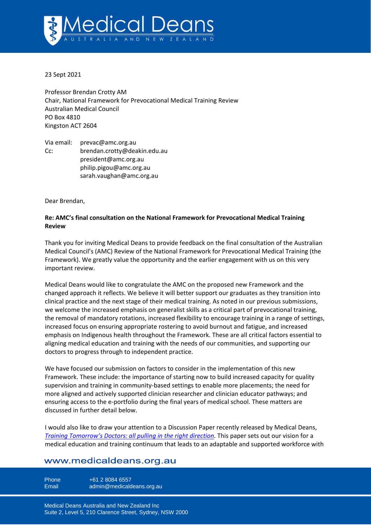

23 Sept 2021

Professor Brendan Crotty AM Chair, National Framework for Prevocational Medical Training Review Australian Medical Council PO Box 4810 Kingston ACT 2604

Via email: prevac@amc.org.au Cc: [brendan.crotty@deakin.edu.au](mailto:brendan.crotty@deakin.edu.au) [president@amc.org.au](mailto:president@amc.org.au) [philip.pigou@amc.org.au](mailto:philip.pigou@amc.org.au) [sarah.vaughan@amc.org.au](mailto:sarah.vaughan@amc.org.au)

Dear Brendan,

## **Re: AMC's final consultation on the National Framework for Prevocational Medical Training Review**

Thank you for inviting Medical Deans to provide feedback on the final consultation of the Australian Medical Council's (AMC) Review of the National Framework for Prevocational Medical Training (the Framework). We greatly value the opportunity and the earlier engagement with us on this very important review.

Medical Deans would like to congratulate the AMC on the proposed new Framework and the changed approach it reflects. We believe it will better support our graduates as they transition into clinical practice and the next stage of their medical training. As noted in our previous submissions, we welcome the increased emphasis on generalist skills as a critical part of prevocational training, the removal of mandatory rotations, increased flexibility to encourage training in a range of settings, increased focus on ensuring appropriate rostering to avoid burnout and fatigue, and increased emphasis on Indigenous health throughout the Framework. These are all critical factors essential to aligning medical education and training with the needs of our communities, and supporting our doctors to progress through to independent practice.

We have focused our submission on factors to consider in the implementation of this new Framework. These include: the importance of starting now to build increased capacity for quality supervision and training in community-based settings to enable more placements; the need for more aligned and actively supported clinician researcher and clinician educator pathways; and ensuring access to the e-portfolio during the final years of medical school. These matters are discussed in further detail below.

I would also like to draw your attention to a Discussion Paper recently released by Medical Deans, *[Training Tomorrow's Doctors: all pulling in the right direction](https://medicaldeans.org.au/resource/training-tomorrows-doctors-all-pulling-in-the-right-direction/)*. This paper sets out our vision for a medical education and training continuum that leads to an adaptable and supported workforce with

# www.medicaldeans.org.au

Phone  $+61 2 8084 6557$ Email admin@medicaldeans.org.au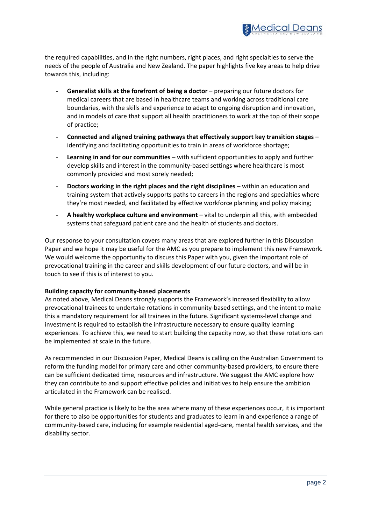

the required capabilities, and in the right numbers, right places, and right specialties to serve the needs of the people of Australia and New Zealand. The paper highlights five key areas to help drive towards this, including:

- Generalist skills at the forefront of being a doctor preparing our future doctors for medical careers that are based in healthcare teams and working across traditional care boundaries, with the skills and experience to adapt to ongoing disruption and innovation, and in models of care that support all health practitioners to work at the top of their scope of practice;
- **Connected and aligned training pathways that effectively support key transition stages** identifying and facilitating opportunities to train in areas of workforce shortage;
- **Learning in and for our communities** with sufficient opportunities to apply and further develop skills and interest in the community-based settings where healthcare is most commonly provided and most sorely needed;
- **Doctors working in the right places and the right disciplines** within an education and training system that actively supports paths to careers in the regions and specialties where they're most needed, and facilitated by effective workforce planning and policy making;
- **A healthy workplace culture and environment** vital to underpin all this, with embedded systems that safeguard patient care and the health of students and doctors.

Our response to your consultation covers many areas that are explored further in this Discussion Paper and we hope it may be useful for the AMC as you prepare to implement this new Framework. We would welcome the opportunity to discuss this Paper with you, given the important role of prevocational training in the career and skills development of our future doctors, and will be in touch to see if this is of interest to you.

### **Building capacity for community-based placements**

As noted above, Medical Deans strongly supports the Framework's increased flexibility to allow prevocational trainees to undertake rotations in community-based settings, and the intent to make this a mandatory requirement for all trainees in the future. Significant systems-level change and investment is required to establish the infrastructure necessary to ensure quality learning experiences. To achieve this, we need to start building the capacity now, so that these rotations can be implemented at scale in the future.

As recommended in our Discussion Paper, Medical Deans is calling on the Australian Government to reform the funding model for primary care and other community-based providers, to ensure there can be sufficient dedicated time, resources and infrastructure. We suggest the AMC explore how they can contribute to and support effective policies and initiatives to help ensure the ambition articulated in the Framework can be realised.

While general practice is likely to be the area where many of these experiences occur, it is important for there to also be opportunities for students and graduates to learn in and experience a range of community-based care, including for example residential aged-care, mental health services, and the disability sector.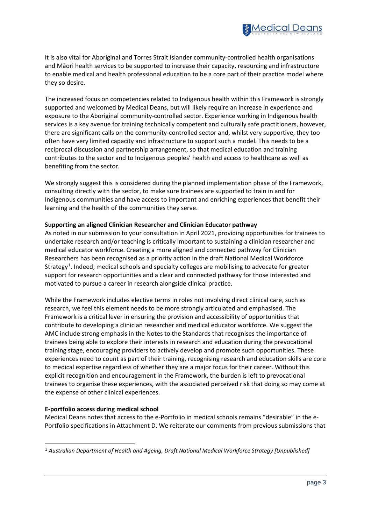

It is also vital for Aboriginal and Torres Strait Islander community-controlled health organisations and Māori health services to be supported to increase their capacity, resourcing and infrastructure to enable medical and health professional education to be a core part of their practice model where they so desire.

The increased focus on competencies related to Indigenous health within this Framework is strongly supported and welcomed by Medical Deans, but will likely require an increase in experience and exposure to the Aboriginal community-controlled sector. Experience working in Indigenous health services is a key avenue for training technically competent and culturally safe practitioners, however, there are significant calls on the community-controlled sector and, whilst very supportive, they too often have very limited capacity and infrastructure to support such a model. This needs to be a reciprocal discussion and partnership arrangement, so that medical education and training contributes to the sector and to Indigenous peoples' health and access to healthcare as well as benefiting from the sector.

We strongly suggest this is considered during the planned implementation phase of the Framework, consulting directly with the sector, to make sure trainees are supported to train in and for Indigenous communities and have access to important and enriching experiences that benefit their learning and the health of the communities they serve.

### **Supporting an aligned Clinician Researcher and Clinician Educator pathway**

As noted in our submission to your consultation in April 2021, providing opportunities for trainees to undertake research and/or teaching is critically important to sustaining a clinician researcher and medical educator workforce. Creating a more aligned and connected pathway for Clinician Researchers has been recognised as a priority action in the draft National Medical Workforce Strategy<sup>[1](#page-2-0)</sup>. Indeed, medical schools and specialty colleges are mobilising to advocate for greater support for research opportunities and a clear and connected pathway for those interested and motivated to pursue a career in research alongside clinical practice.

While the Framework includes elective terms in roles not involving direct clinical care, such as research, we feel this element needs to be more strongly articulated and emphasised. The Framework is a critical lever in ensuring the provision and accessibility of opportunities that contribute to developing a clinician researcher and medical educator workforce. We suggest the AMC include strong emphasis in the Notes to the Standards that recognises the importance of trainees being able to explore their interests in research and education during the prevocational training stage, encouraging providers to actively develop and promote such opportunities. These experiences need to count as part of their training, recognising research and education skills are core to medical expertise regardless of whether they are a major focus for their career. Without this explicit recognition and encouragement in the Framework, the burden is left to prevocational trainees to organise these experiences, with the associated perceived risk that doing so may come at the expense of other clinical experiences.

#### **E-portfolio access during medical school**

Medical Deans notes that access to the e-Portfolio in medical schools remains "desirable" in the e-Portfolio specifications in Attachment D. We reiterate our comments from previous submissions that

<span id="page-2-0"></span>*<sup>1</sup> Australian Department of Health and Ageing, Draft National Medical Workforce Strategy [Unpublished]*